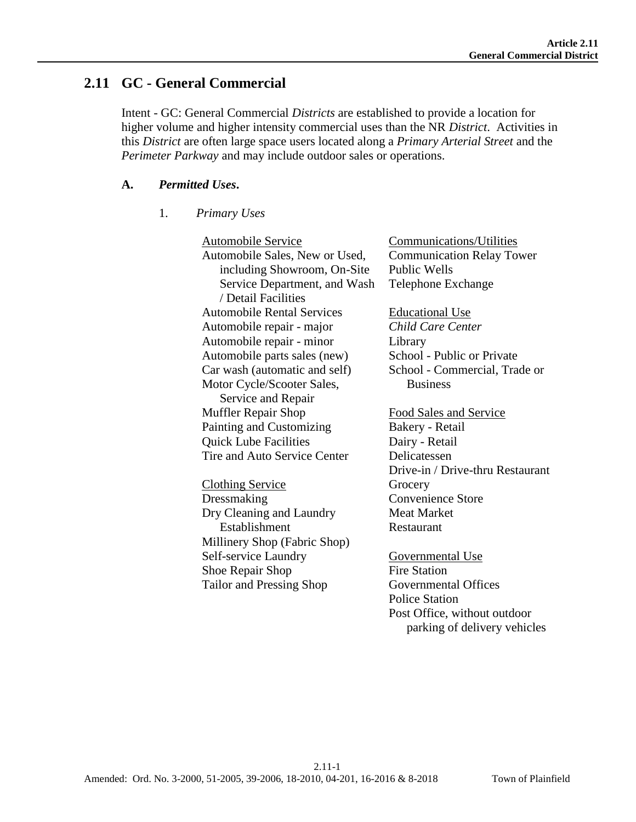# **2.11 GC - General Commercial**

Intent - GC: General Commercial *Districts* are established to provide a location for higher volume and higher intensity commercial uses than the NR *District*. Activities in this *District* are often large space users located along a *Primary Arterial Street* and the *Perimeter Parkway* and may include outdoor sales or operations.

#### **A.** *Permitted Uses***.**

#### 1. *Primary Uses*

Automobile Service Automobile Sales, New or Used, including Showroom, On-Site Service Department, and Wash / Detail Facilities Automobile Rental Services Automobile repair - major Automobile repair - minor Automobile parts sales (new) Car wash (automatic and self) Motor Cycle/Scooter Sales, Service and Repair Muffler Repair Shop Painting and Customizing Quick Lube Facilities Tire and Auto Service Center Clothing Service Dressmaking Dry Cleaning and Laundry Establishment Millinery Shop (Fabric Shop) Self-service Laundry Shoe Repair Shop Tailor and Pressing Shop Communications/Utilities Communication Relay Tower Public Wells Telephone Exchange Educational Use *Child Care Center* Library School - Public or Private School - Commercial, Trade or **Business** Food Sales and Service Bakery - Retail Dairy - Retail Delicatessen Drive-in / Drive-thru Restaurant **Grocery** Convenience Store Meat Market Restaurant Governmental Use Fire Station Governmental Offices Police Station Post Office, without outdoor parking of delivery vehicles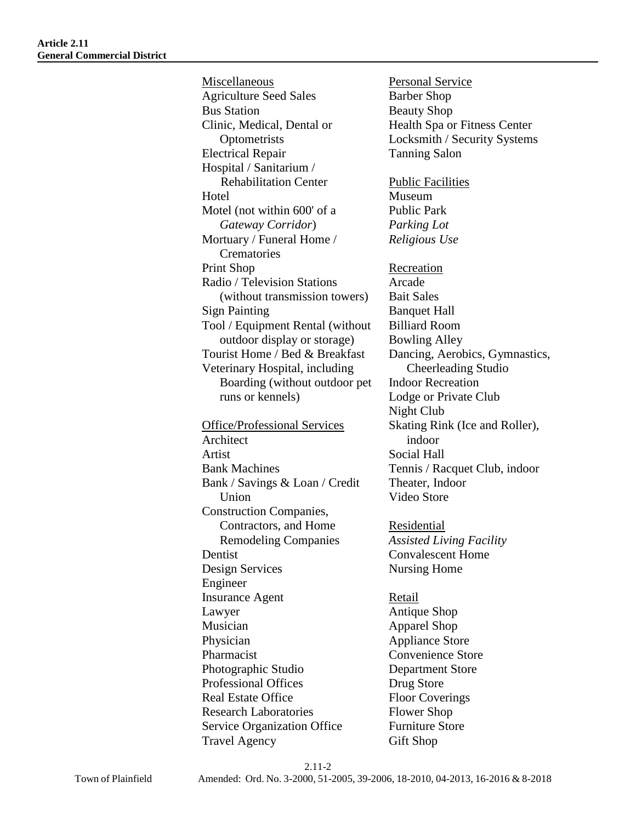Miscellaneous Agriculture Seed Sales Bus Station Clinic, Medical, Dental or **Optometrists** Electrical Repair Hospital / Sanitarium / Rehabilitation Center **Hotel** Motel (not within 600' of a *Gateway Corridor*) Mortuary / Funeral Home / **Crematories** Print Shop Radio / Television Stations (without transmission towers) Sign Painting Tool / Equipment Rental (without outdoor display or storage) Tourist Home / Bed & Breakfast Veterinary Hospital, including Boarding (without outdoor pet runs or kennels) Office/Professional Services Architect Artist Bank Machines Bank / Savings & Loan / Credit Union Construction Companies, Contractors, and Home Remodeling Companies Dentist Design Services Engineer Insurance Agent Lawyer Musician Physician Pharmacist Photographic Studio Professional Offices Real Estate Office Research Laboratories Service Organization Office

Travel Agency

Personal Service Barber Shop Beauty Shop Health Spa or Fitness Center Locksmith / Security Systems Tanning Salon Public Facilities Museum Public Park *Parking Lot Religious Use* Recreation Arcade Bait Sales Banquet Hall Billiard Room Bowling Alley Dancing, Aerobics, Gymnastics, Cheerleading Studio Indoor Recreation Lodge or Private Club Night Club Skating Rink (Ice and Roller), indoor Social Hall Tennis / Racquet Club, indoor Theater, Indoor Video Store

Residential *Assisted Living Facility* Convalescent Home Nursing Home

Retail Antique Shop Apparel Shop Appliance Store Convenience Store Department Store Drug Store Floor Coverings Flower Shop Furniture Store Gift Shop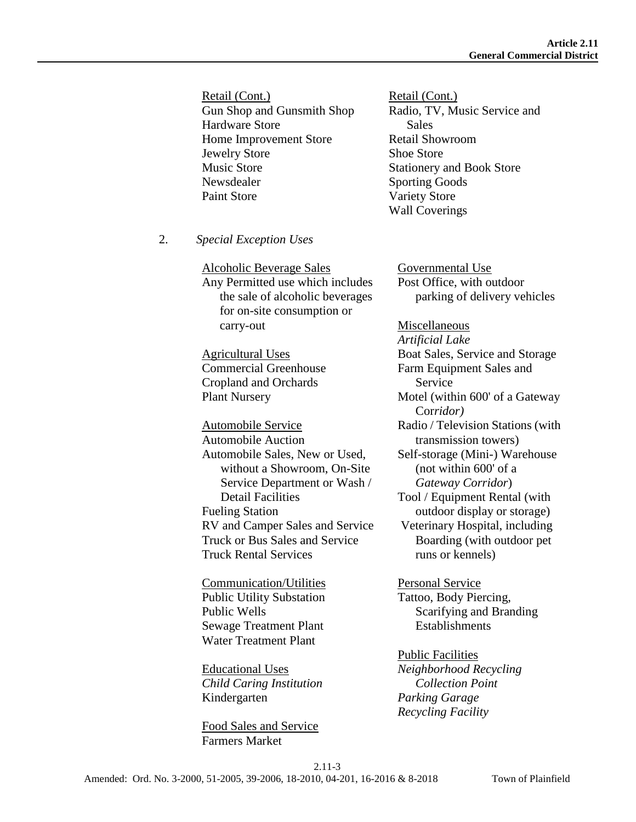Retail (Cont.) Gun Shop and Gunsmith Shop Hardware Store Home Improvement Store Jewelry Store Music Store Newsdealer Paint Store

2. *Special Exception Uses*

Alcoholic Beverage Sales Any Permitted use which includes the sale of alcoholic beverages for on-site consumption or carry-out

Agricultural Uses Commercial Greenhouse Cropland and Orchards Plant Nursery

Automobile Service Automobile Auction Automobile Sales, New or Used, without a Showroom, On-Site Service Department or Wash / Detail Facilities Fueling Station RV and Camper Sales and Service Truck or Bus Sales and Service Truck Rental Services

Communication/Utilities Public Utility Substation Public Wells Sewage Treatment Plant Water Treatment Plant

Educational Uses *Child Caring Institution* Kindergarten

Food Sales and Service Farmers Market

Retail (Cont.) Radio, TV, Music Service and Sales Retail Showroom Shoe Store Stationery and Book Store Sporting Goods Variety Store Wall Coverings

Governmental Use Post Office, with outdoor parking of delivery vehicles

Miscellaneous *Artificial Lake* Boat Sales, Service and Storage Farm Equipment Sales and Service Motel (within 600' of a Gateway Cor*ridor)* Radio / Television Stations (with transmission towers) Self-storage (Mini-) Warehouse (not within 600' of a *Gateway Corridor*) Tool / Equipment Rental (with outdoor display or storage) Veterinary Hospital, including Boarding (with outdoor pet runs or kennels)

Personal Service Tattoo, Body Piercing, Scarifying and Branding **Establishments** 

Public Facilities *Neighborhood Recycling Collection Point Parking Garage Recycling Facility*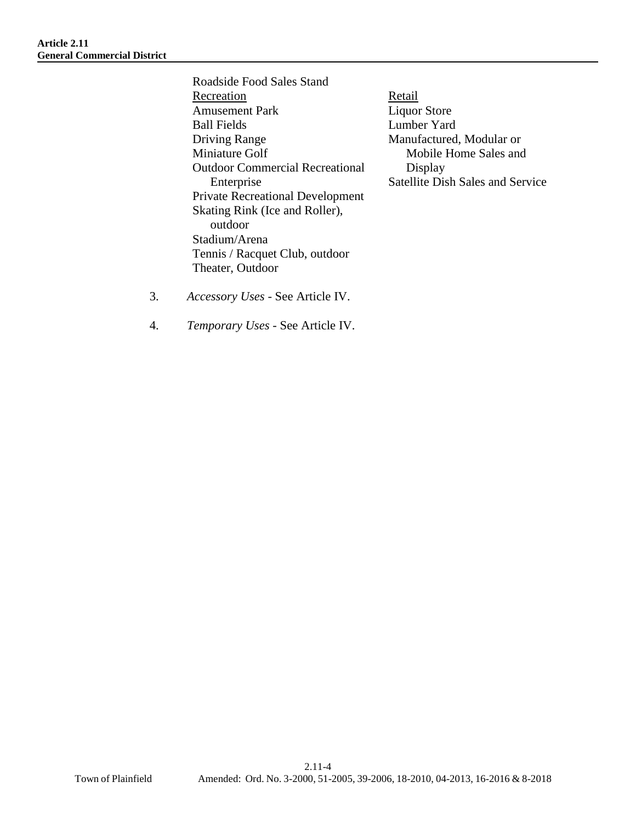Roadside Food Sales Stand Recreation Amusement Park Ball Fields Driving Range Miniature Golf Outdoor Commercial Recreational Enterprise Private Recreational Development Skating Rink (Ice and Roller), outdoor Stadium/Arena Tennis / Racquet Club, outdoor Theater, Outdoor

**Retail** Liquor Store Lumber Yard Manufactured, Modular or Mobile Home Sales and Display Satellite Dish Sales and Service

- 3. *Accessory Uses* See Article IV.
- 4. *Temporary Uses* See Article IV.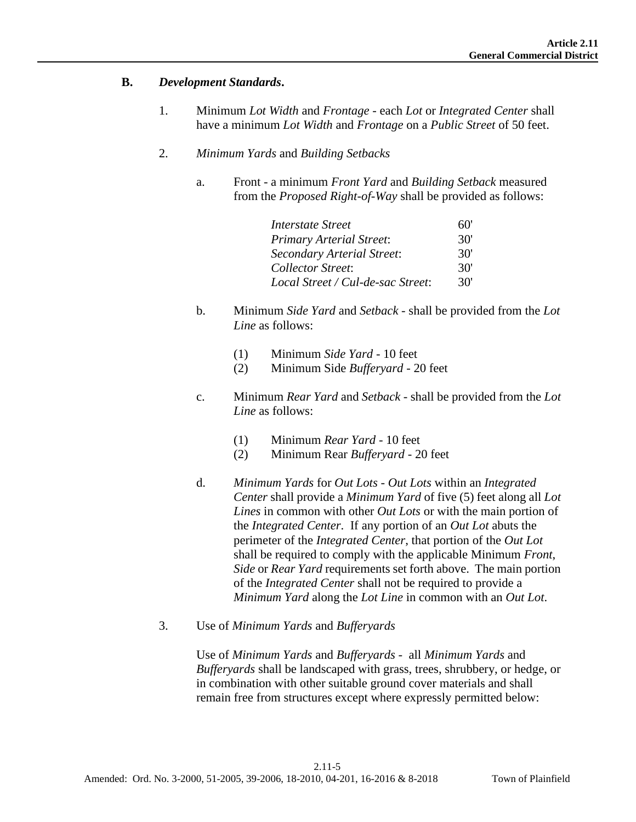#### **B.** *Development Standards***.**

- 1. Minimum *Lot Width* and *Frontage* each *Lot* or *Integrated Center* shall have a minimum *Lot Width* and *Frontage* on a *Public Street* of 50 feet.
- 2. *Minimum Yards* and *Building Setbacks*
	- a. Front a minimum *Front Yard* and *Building Setback* measured from the *Proposed Right-of-Way* shall be provided as follows:

| <b>Interstate Street</b>          | 60  |
|-----------------------------------|-----|
| <b>Primary Arterial Street:</b>   | 30' |
| Secondary Arterial Street:        | 30' |
| <b>Collector Street:</b>          | 30' |
| Local Street / Cul-de-sac Street: | 30' |

- b. Minimum *Side Yard* and *Setback* shall be provided from the *Lot Line* as follows:
	- (1) Minimum *Side Yard* 10 feet
	- (2) Minimum Side *Bufferyard*  20 feet
- c. Minimum *Rear Yard* and *Setback* shall be provided from the *Lot Line* as follows:
	- (1) Minimum *Rear Yard* 10 feet
	- (2) Minimum Rear *Bufferyard* 20 feet
- d. *Minimum Yards* for *Out Lots Out Lots* within an *Integrated Center* shall provide a *Minimum Yard* of five (5) feet along all *Lot Lines* in common with other *Out Lots* or with the main portion of the *Integrated Center*. If any portion of an *Out Lot* abuts the perimeter of the *Integrated Center*, that portion of the *Out Lot* shall be required to comply with the applicable Minimum *Front*, *Side* or *Rear Yard* requirements set forth above. The main portion of the *Integrated Center* shall not be required to provide a *Minimum Yard* along the *Lot Line* in common with an *Out Lot*.
- 3. Use of *Minimum Yards* and *Bufferyards*

Use of *Minimum Yards* and *Bufferyards* - all *Minimum Yards* and *Bufferyards* shall be landscaped with grass, trees, shrubbery, or hedge, or in combination with other suitable ground cover materials and shall remain free from structures except where expressly permitted below: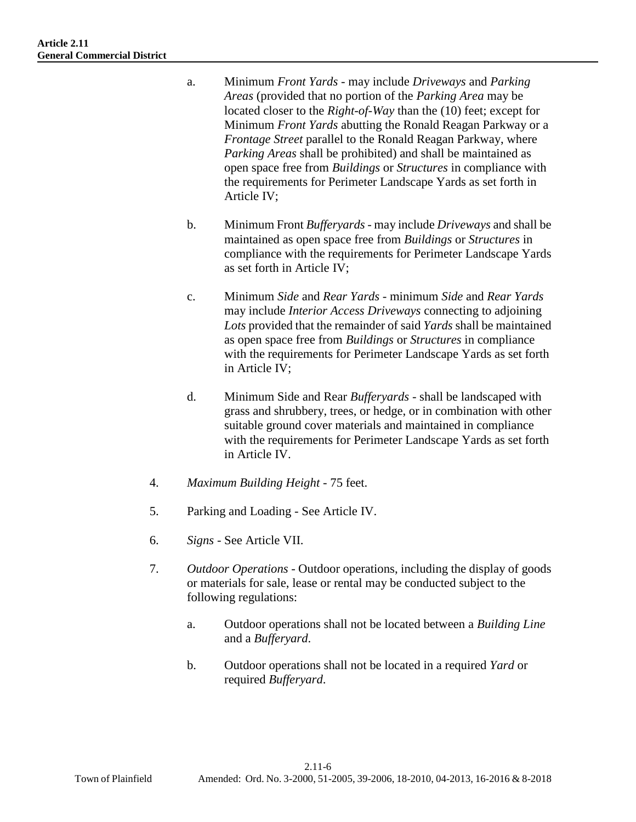- a. Minimum *Front Yards* may include *Driveways* and *Parking Areas* (provided that no portion of the *Parking Area* may be located closer to the *Right-of-Way* than the (10) feet; except for Minimum *Front Yards* abutting the Ronald Reagan Parkway or a *Frontage Street* parallel to the Ronald Reagan Parkway, where *Parking Areas* shall be prohibited) and shall be maintained as open space free from *Buildings* or *Structures* in compliance with the requirements for Perimeter Landscape Yards as set forth in Article IV;
- b. Minimum Front *Bufferyards* may include *Driveways* and shall be maintained as open space free from *Buildings* or *Structures* in compliance with the requirements for Perimeter Landscape Yards as set forth in Article IV;
- c. Minimum *Side* and *Rear Yards* minimum *Side* and *Rear Yards* may include *Interior Access Driveways* connecting to adjoining *Lots* provided that the remainder of said *Yards* shall be maintained as open space free from *Buildings* or *Structures* in compliance with the requirements for Perimeter Landscape Yards as set forth in Article IV;
- d. Minimum Side and Rear *Bufferyards* shall be landscaped with grass and shrubbery, trees, or hedge, or in combination with other suitable ground cover materials and maintained in compliance with the requirements for Perimeter Landscape Yards as set forth in Article IV.
- 4. *Maximum Building Height* 75 feet.
- 5. Parking and Loading See Article IV.
- 6. *Signs* See Article VII.
- 7. *Outdoor Operations* Outdoor operations, including the display of goods or materials for sale, lease or rental may be conducted subject to the following regulations:
	- a. Outdoor operations shall not be located between a *Building Line* and a *Bufferyard*.
	- b. Outdoor operations shall not be located in a required *Yard* or required *Bufferyard*.